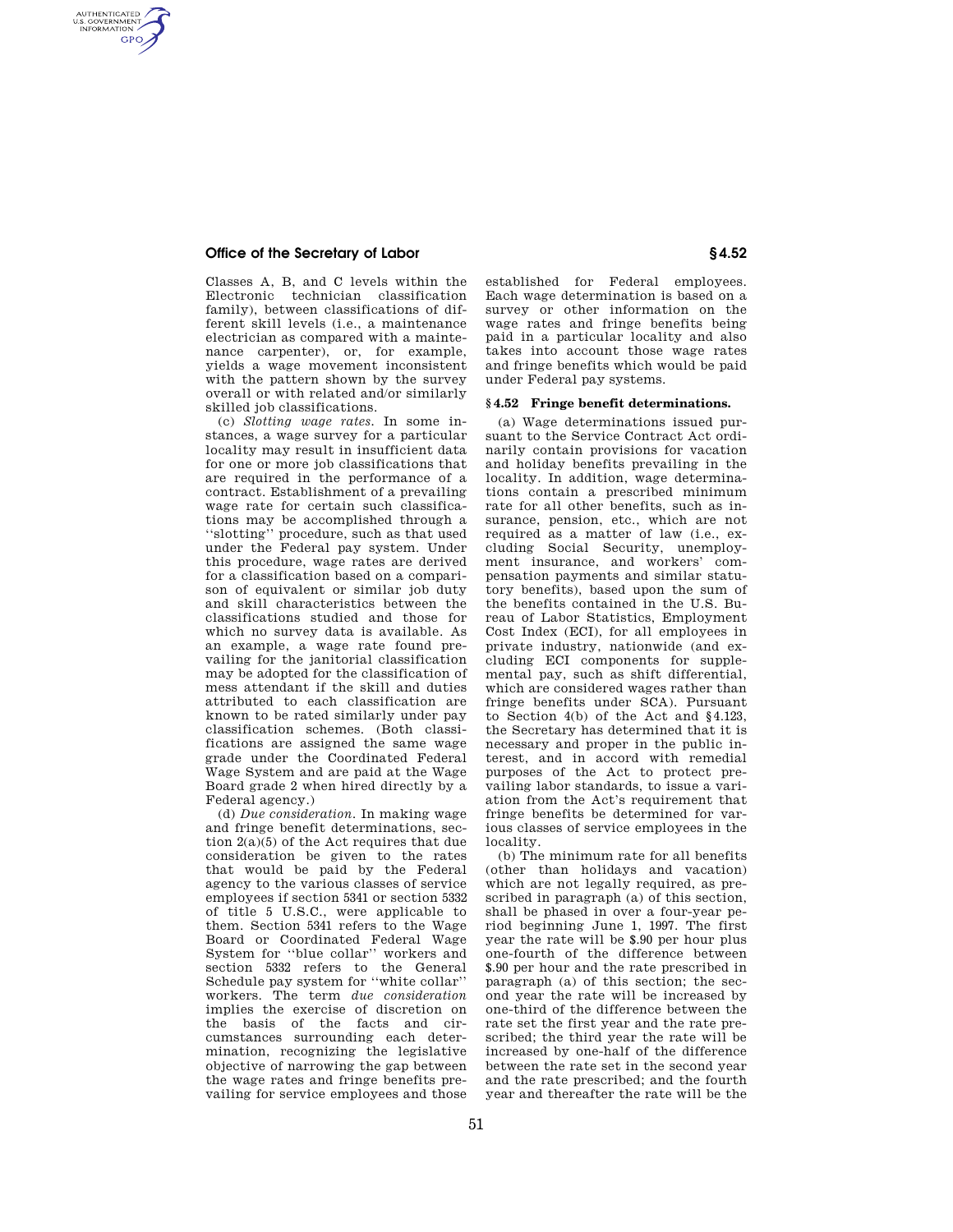## **Office of the Secretary of Labor § 4.52**

AUTHENTICATED<br>U.S. GOVERNMENT<br>INFORMATION **GPO** 

> Classes A, B, and C levels within the Electronic technician classification family), between classifications of different skill levels (i.e., a maintenance electrician as compared with a maintenance carpenter), or, for example, yields a wage movement inconsistent with the pattern shown by the survey overall or with related and/or similarly skilled job classifications.

(c) *Slotting wage rates.* In some instances, a wage survey for a particular locality may result in insufficient data for one or more job classifications that are required in the performance of a contract. Establishment of a prevailing wage rate for certain such classifications may be accomplished through a ''slotting'' procedure, such as that used under the Federal pay system. Under this procedure, wage rates are derived for a classification based on a comparison of equivalent or similar job duty and skill characteristics between the classifications studied and those for which no survey data is available. As an example, a wage rate found prevailing for the janitorial classification may be adopted for the classification of mess attendant if the skill and duties attributed to each classification are known to be rated similarly under pay classification schemes. (Both classifications are assigned the same wage grade under the Coordinated Federal Wage System and are paid at the Wage Board grade 2 when hired directly by a Federal agency.)

(d) *Due consideration.* In making wage and fringe benefit determinations, section  $2(a)(5)$  of the Act requires that due consideration be given to the rates that would be paid by the Federal agency to the various classes of service employees if section 5341 or section 5332 of title 5 U.S.C., were applicable to them. Section 5341 refers to the Wage Board or Coordinated Federal Wage System for ''blue collar'' workers and section 5332 refers to the General Schedule pay system for ''white collar'' workers. The term *due consideration*  implies the exercise of discretion on the basis of the facts and circumstances surrounding each determination, recognizing the legislative objective of narrowing the gap between the wage rates and fringe benefits prevailing for service employees and those

established for Federal employees. Each wage determination is based on a survey or other information on the wage rates and fringe benefits being paid in a particular locality and also takes into account those wage rates and fringe benefits which would be paid under Federal pay systems.

## **§ 4.52 Fringe benefit determinations.**

(a) Wage determinations issued pursuant to the Service Contract Act ordinarily contain provisions for vacation and holiday benefits prevailing in the locality. In addition, wage determinations contain a prescribed minimum rate for all other benefits, such as insurance, pension, etc., which are not required as a matter of law (i.e., excluding Social Security, unemployment insurance, and workers' compensation payments and similar statutory benefits), based upon the sum of the benefits contained in the U.S. Bureau of Labor Statistics, Employment Cost Index (ECI), for all employees in private industry, nationwide (and excluding ECI components for supplemental pay, such as shift differential, which are considered wages rather than fringe benefits under SCA). Pursuant to Section 4(b) of the Act and §4.123, the Secretary has determined that it is necessary and proper in the public interest, and in accord with remedial purposes of the Act to protect prevailing labor standards, to issue a variation from the Act's requirement that fringe benefits be determined for various classes of service employees in the locality.

(b) The minimum rate for all benefits (other than holidays and vacation) which are not legally required, as prescribed in paragraph (a) of this section, shall be phased in over a four-year period beginning June 1, 1997. The first year the rate will be \$.90 per hour plus one-fourth of the difference between \$.90 per hour and the rate prescribed in paragraph (a) of this section; the second year the rate will be increased by one-third of the difference between the rate set the first year and the rate prescribed; the third year the rate will be increased by one-half of the difference between the rate set in the second year and the rate prescribed; and the fourth year and thereafter the rate will be the